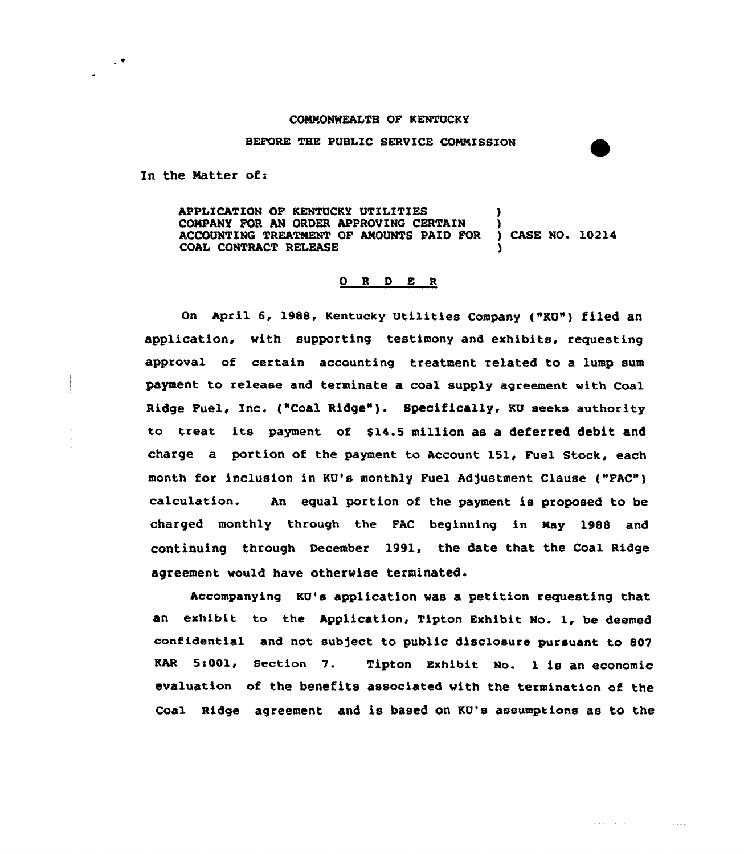## CONNONWEALTH OF KENTUCKY

## BEFORE THE PUBLIC SERUICE COMNISSIOH

In the Matter of:

 $\mathcal{L}^{\bullet}$ 

APPLICATION OF KENTUCKY UTILITIES COMPANY FOR AN ORDER APPROVING CERTAIN )<br>ACCOUNTING TREATMENT OF AMOUNTS PAID FOR ) CASE NO. 10214 ACCOUNTING TREATMENT OF AMOUNTS PAID FOR COAL CONTRACT RELEASE

## 0 <sup>R</sup> <sup>D</sup> E <sup>R</sup>

On April 6, 1988, Kentucky Utilities Company {"KU") filed an application, with supporting testimony and exhibits, requesting approval of certain accounting treatment related to a lump sum payment to release and terminate a coal supply agreement with Coal Ridge Fuel, Inc. ("Coal Ridge"). Specifically, KU seeks authority to treat its payment of \$14.5 million as a deferred debit and charge a portion of the payment to Account 151, Fuel Stock, each month for inclusion in KU's monthly Fuel Adjustment Clause ("FAC") calculation. An equal portion of the payment is proposed to be charged monthly through the FAC beginning in Nay 1988 and continuing through December 1991, the date that the Coal Ridge agreement would have otherwise terminated.

Accompanying KQ's application was a petition requesting that an exhibit to the Application, Tipton Exhibit No. 1, be deemed confidential and not subject to public disclosure pursuant to 807 KAR 5s001, Section V. Tipton Exhibit Mo. 1 is an economic evaluation of the benefits associated with the termination of the Coal Ridge agreement and is based on KU's assumptions as to the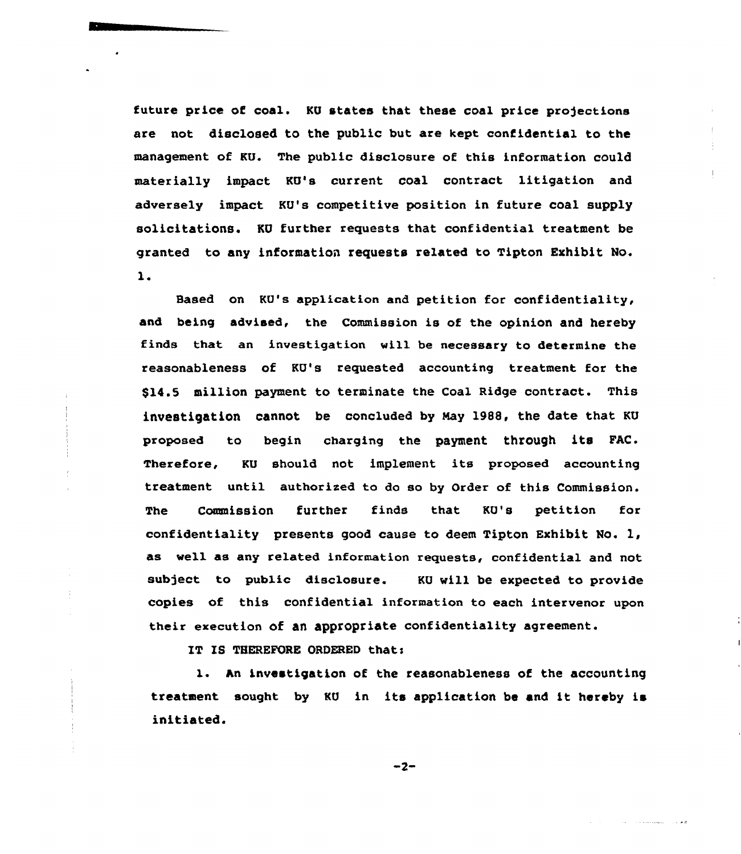future price of coal. KU states that these coal price projections are not disclosed to the public but are kept confidential to the management of KU. The public disclosure of this information could materially impact KU's current coal contract litigation and adversely impact KU's competitive position in future coal supply solicitations. KU further requests that confidential treatment be granted to any information requests related to Tipton Exhibit No.  $\mathbf{1}$ .

Based on KV's application and petition for confidentiality, and being advised, the Commission is of the opinion and hereby finds that an investigation will be necessary to determine the reasonableness of KU's requested accounting treatment for the \$14.5 million payment to terminate the Coal Ridge contract. This investigation cannot be concluded by Nay 1988, the date that KU proposed to begin charging the payment through its FAC. Therefore, KU should not implement its proposed accounting treatment until authorixed ta do so by Order of this Commission. The Commission further finds that KV's petition for confidentiality presents good cause to deem Tipton Exhibit No. 1, as well as any related information requests, confidential and not subject to public disclosure. KU will be expected to provide copies of this confidential information to each intervenor upon their execution of an appropriate confidentiality agreement.

IT IS THEREFORE ORDERED that:

l. An investigation of the reasonableness of the accounting treatment sought by KU in its application be and it hereby is initiated.

 $-2-$